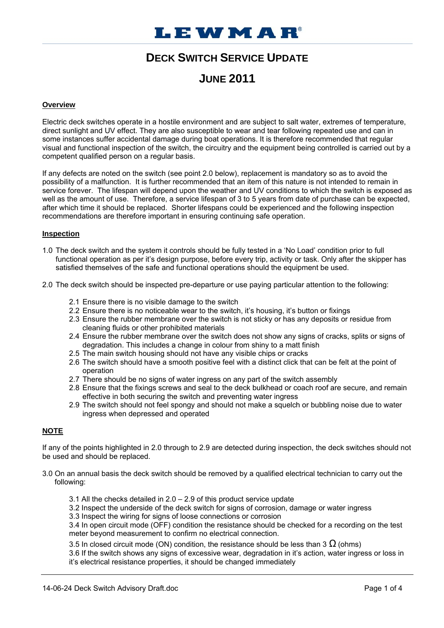# **DECK SWITCH SERVICE UPDATE**

## **JUNE 2011**

#### **Overview**

Electric deck switches operate in a hostile environment and are subject to salt water, extremes of temperature, direct sunlight and UV effect. They are also susceptible to wear and tear following repeated use and can in some instances suffer accidental damage during boat operations. It is therefore recommended that regular visual and functional inspection of the switch, the circuitry and the equipment being controlled is carried out by a competent qualified person on a regular basis.

If any defects are noted on the switch (see point 2.0 below), replacement is mandatory so as to avoid the possibility of a malfunction. It is further recommended that an item of this nature is not intended to remain in service forever. The lifespan will depend upon the weather and UV conditions to which the switch is exposed as well as the amount of use. Therefore, a service lifespan of 3 to 5 years from date of purchase can be expected, after which time it should be replaced. Shorter lifespans could be experienced and the following inspection recommendations are therefore important in ensuring continuing safe operation.

#### **Inspection**

- 1.0 The deck switch and the system it controls should be fully tested in a 'No Load' condition prior to full functional operation as per it's design purpose, before every trip, activity or task. Only after the skipper has satisfied themselves of the safe and functional operations should the equipment be used.
- 2.0 The deck switch should be inspected pre-departure or use paying particular attention to the following:
	- 2.1 Ensure there is no visible damage to the switch
	- 2.2 Ensure there is no noticeable wear to the switch, it's housing, it's button or fixings
	- 2.3 Ensure the rubber membrane over the switch is not sticky or has any deposits or residue from cleaning fluids or other prohibited materials
	- 2.4 Ensure the rubber membrane over the switch does not show any signs of cracks, splits or signs of degradation. This includes a change in colour from shiny to a matt finish
	- 2.5 The main switch housing should not have any visible chips or cracks
	- 2.6 The switch should have a smooth positive feel with a distinct click that can be felt at the point of operation
	- 2.7 There should be no signs of water ingress on any part of the switch assembly
	- 2.8 Ensure that the fixings screws and seal to the deck bulkhead or coach roof are secure, and remain effective in both securing the switch and preventing water ingress
	- 2.9 The switch should not feel spongy and should not make a squelch or bubbling noise due to water ingress when depressed and operated

### **NOTE**

If any of the points highlighted in 2.0 through to 2.9 are detected during inspection, the deck switches should not be used and should be replaced.

- 3.0 On an annual basis the deck switch should be removed by a qualified electrical technician to carry out the following:
	- 3.1 All the checks detailed in 2.0 2.9 of this product service update
	- 3.2 Inspect the underside of the deck switch for signs of corrosion, damage or water ingress
	- 3.3 Inspect the wiring for signs of loose connections or corrosion

3.4 In open circuit mode (OFF) condition the resistance should be checked for a recording on the test meter beyond measurement to confirm no electrical connection.

3.5 In closed circuit mode (ON) condition, the resistance should be less than 3  $\Omega$  (ohms)

3.6 If the switch shows any signs of excessive wear, degradation in it's action, water ingress or loss in it's electrical resistance properties, it should be changed immediately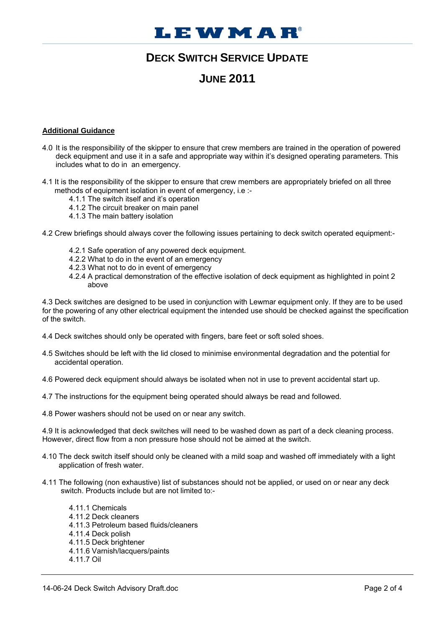# **I.EWMAR**

## **DECK SWITCH SERVICE UPDATE**

## **JUNE 2011**

#### **Additional Guidance**

- 4.0 It is the responsibility of the skipper to ensure that crew members are trained in the operation of powered deck equipment and use it in a safe and appropriate way within it's designed operating parameters. This includes what to do in an emergency.
- 4.1 It is the responsibility of the skipper to ensure that crew members are appropriately briefed on all three methods of equipment isolation in event of emergency, i.e :-
	- 4.1.1 The switch itself and it's operation
	- 4.1.2 The circuit breaker on main panel
	- 4.1.3 The main battery isolation
- 4.2 Crew briefings should always cover the following issues pertaining to deck switch operated equipment:-
	- 4.2.1 Safe operation of any powered deck equipment.
	- 4.2.2 What to do in the event of an emergency
	- 4.2.3 What not to do in event of emergency
	- 4.2.4 A practical demonstration of the effective isolation of deck equipment as highlighted in point 2 above

4.3 Deck switches are designed to be used in conjunction with Lewmar equipment only. If they are to be used for the powering of any other electrical equipment the intended use should be checked against the specification of the switch.

- 4.4 Deck switches should only be operated with fingers, bare feet or soft soled shoes.
- 4.5 Switches should be left with the lid closed to minimise environmental degradation and the potential for accidental operation.
- 4.6 Powered deck equipment should always be isolated when not in use to prevent accidental start up.
- 4.7 The instructions for the equipment being operated should always be read and followed.
- 4.8 Power washers should not be used on or near any switch.

4.9 It is acknowledged that deck switches will need to be washed down as part of a deck cleaning process. However, direct flow from a non pressure hose should not be aimed at the switch.

- 4.10 The deck switch itself should only be cleaned with a mild soap and washed off immediately with a light application of fresh water.
- 4.11 The following (non exhaustive) list of substances should not be applied, or used on or near any deck switch. Products include but are not limited to:-
	- 4.11.1 Chemicals 4.11.2 Deck cleaners 4.11.3 Petroleum based fluids/cleaners 4.11.4 Deck polish 4.11.5 Deck brightener 4.11.6 Varnish/lacquers/paints 4.11.7 Oil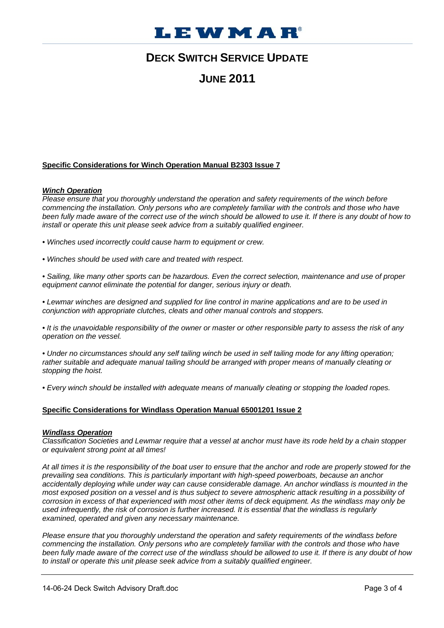

## **DECK SWITCH SERVICE UPDATE**

## **JUNE 2011**

#### **Specific Considerations for Winch Operation Manual B2303 Issue 7**

#### *Winch Operation*

*Please ensure that you thoroughly understand the operation and safety requirements of the winch before commencing the installation. Only persons who are completely familiar with the controls and those who have*  been fully made aware of the correct use of the winch should be allowed to use it. If there is any doubt of how to *install or operate this unit please seek advice from a suitably qualified engineer.* 

*• Winches used incorrectly could cause harm to equipment or crew.* 

*• Winches should be used with care and treated with respect.* 

*• Sailing, like many other sports can be hazardous. Even the correct selection, maintenance and use of proper equipment cannot eliminate the potential for danger, serious injury or death.* 

*• Lewmar winches are designed and supplied for line control in marine applications and are to be used in conjunction with appropriate clutches, cleats and other manual controls and stoppers.* 

*• It is the unavoidable responsibility of the owner or master or other responsible party to assess the risk of any operation on the vessel.* 

*• Under no circumstances should any self tailing winch be used in self tailing mode for any lifting operation; rather suitable and adequate manual tailing should be arranged with proper means of manually cleating or stopping the hoist.* 

*• Every winch should be installed with adequate means of manually cleating or stopping the loaded ropes.* 

#### **Specific Considerations for Windlass Operation Manual 65001201 Issue 2**

#### *Windlass Operation*

*Classification Societies and Lewmar require that a vessel at anchor must have its rode held by a chain stopper or equivalent strong point at all times!* 

*At all times it is the responsibility of the boat user to ensure that the anchor and rode are properly stowed for the prevailing sea conditions. This is particularly important with high-speed powerboats, because an anchor accidentally deploying while under way can cause considerable damage. An anchor windlass is mounted in the most exposed position on a vessel and is thus subject to severe atmospheric attack resulting in a possibility of corrosion in excess of that experienced with most other items of deck equipment. As the windlass may only be used infrequently, the risk of corrosion is further increased. It is essential that the windlass is regularly examined, operated and given any necessary maintenance.* 

*Please ensure that you thoroughly understand the operation and safety requirements of the windlass before commencing the installation. Only persons who are completely familiar with the controls and those who have been fully made aware of the correct use of the windlass should be allowed to use it. If there is any doubt of how to install or operate this unit please seek advice from a suitably qualified engineer.*